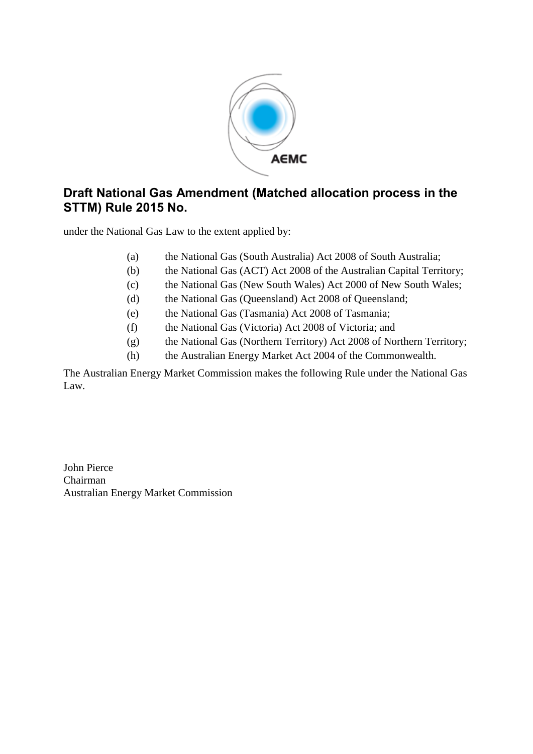

# **Draft National Gas Amendment (Matched allocation process in the STTM) Rule 2015 No.**

under the National Gas Law to the extent applied by:

- (a) the National Gas (South Australia) Act 2008 of South Australia;
- (b) the National Gas (ACT) Act 2008 of the Australian Capital Territory;
- (c) the National Gas (New South Wales) Act 2000 of New South Wales;
- (d) the National Gas (Queensland) Act 2008 of Queensland;
- (e) the National Gas (Tasmania) Act 2008 of Tasmania;
- (f) the National Gas (Victoria) Act 2008 of Victoria; and
- (g) the National Gas (Northern Territory) Act 2008 of Northern Territory;
- (h) the Australian Energy Market Act 2004 of the Commonwealth.

The Australian Energy Market Commission makes the following Rule under the National Gas Law.

John Pierce Chairman Australian Energy Market Commission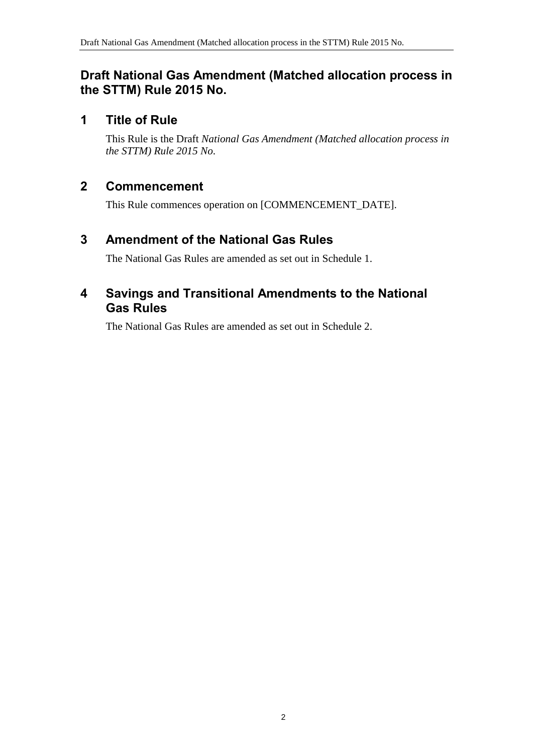## **Draft National Gas Amendment (Matched allocation process in the STTM) Rule 2015 No.**

## **1 Title of Rule**

This Rule is the Draft *National Gas Amendment (Matched allocation process in the STTM) Rule 2015 No.*

# **2 Commencement**

This Rule commences operation on [COMMENCEMENT\_DATE].

# <span id="page-1-0"></span>**3 Amendment of the National Gas Rules**

The National Gas Rules are amended as set out in [Schedule 1.](#page-2-0)

### <span id="page-1-1"></span>**4 Savings and Transitional Amendments to the National Gas Rules**

The National Gas Rules are amended as set out in [Schedule 2.](#page-6-0)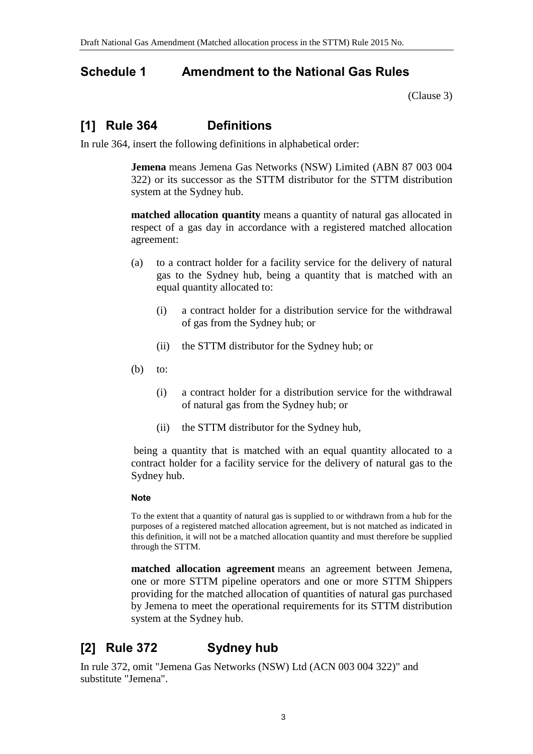### <span id="page-2-0"></span>**Schedule 1 Amendment to the National Gas Rules**

[\(Clause](#page-1-0) 3)

# **[1] Rule 364 Definitions**

In rule 364, insert the following definitions in alphabetical order:

**Jemena** means Jemena Gas Networks (NSW) Limited (ABN 87 003 004 322) or its successor as the STTM distributor for the STTM distribution system at the Sydney hub.

**matched allocation quantity** means a quantity of natural gas allocated in respect of a gas day in accordance with a registered matched allocation agreement:

- (a) to a contract holder for a facility service for the delivery of natural gas to the Sydney hub, being a quantity that is matched with an equal quantity allocated to:
	- (i) a contract holder for a distribution service for the withdrawal of gas from the Sydney hub; or
	- (ii) the STTM distributor for the Sydney hub; or
- $(b)$  to:
	- (i) a contract holder for a distribution service for the withdrawal of natural gas from the Sydney hub; or
	- (ii) the STTM distributor for the Sydney hub,

being a quantity that is matched with an equal quantity allocated to a contract holder for a facility service for the delivery of natural gas to the Sydney hub.

#### **Note**

To the extent that a quantity of natural gas is supplied to or withdrawn from a hub for the purposes of a registered matched allocation agreement, but is not matched as indicated in this definition, it will not be a matched allocation quantity and must therefore be supplied through the STTM.

**matched allocation agreement** means an agreement between Jemena, one or more STTM pipeline operators and one or more STTM Shippers providing for the matched allocation of quantities of natural gas purchased by Jemena to meet the operational requirements for its STTM distribution system at the Sydney hub.

# **[2] Rule 372 Sydney hub**

In rule 372, omit "Jemena Gas Networks (NSW) Ltd (ACN 003 004 322)" and substitute "Jemena".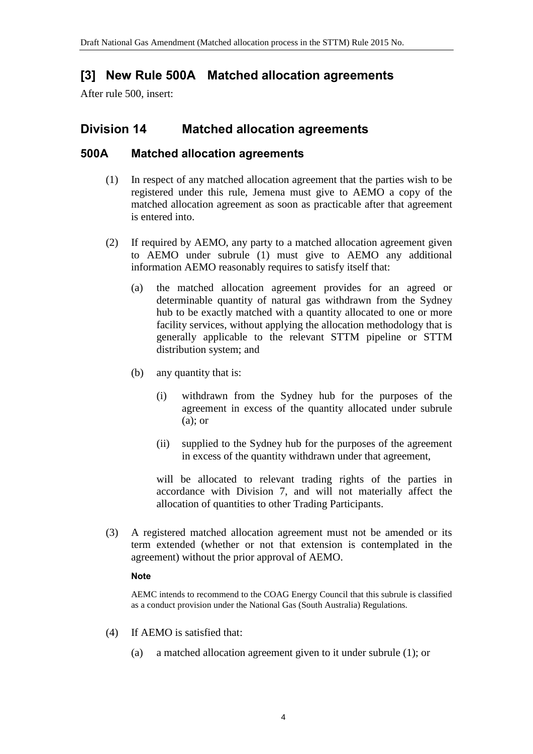# **[3] New Rule 500A Matched allocation agreements**

After rule 500, insert:

### **Division 14 Matched allocation agreements**

### **500A Matched allocation agreements**

- (1) In respect of any matched allocation agreement that the parties wish to be registered under this rule, Jemena must give to AEMO a copy of the matched allocation agreement as soon as practicable after that agreement is entered into.
- (2) If required by AEMO, any party to a matched allocation agreement given to AEMO under subrule (1) must give to AEMO any additional information AEMO reasonably requires to satisfy itself that:
	- (a) the matched allocation agreement provides for an agreed or determinable quantity of natural gas withdrawn from the Sydney hub to be exactly matched with a quantity allocated to one or more facility services, without applying the allocation methodology that is generally applicable to the relevant STTM pipeline or STTM distribution system; and
	- (b) any quantity that is:
		- (i) withdrawn from the Sydney hub for the purposes of the agreement in excess of the quantity allocated under subrule (a); or
		- (ii) supplied to the Sydney hub for the purposes of the agreement in excess of the quantity withdrawn under that agreement,

will be allocated to relevant trading rights of the parties in accordance with Division 7, and will not materially affect the allocation of quantities to other Trading Participants.

(3) A registered matched allocation agreement must not be amended or its term extended (whether or not that extension is contemplated in the agreement) without the prior approval of AEMO.

#### **Note**

AEMC intends to recommend to the COAG Energy Council that this subrule is classified as a conduct provision under the National Gas (South Australia) Regulations.

- (4) If AEMO is satisfied that:
	- (a) a matched allocation agreement given to it under subrule (1); or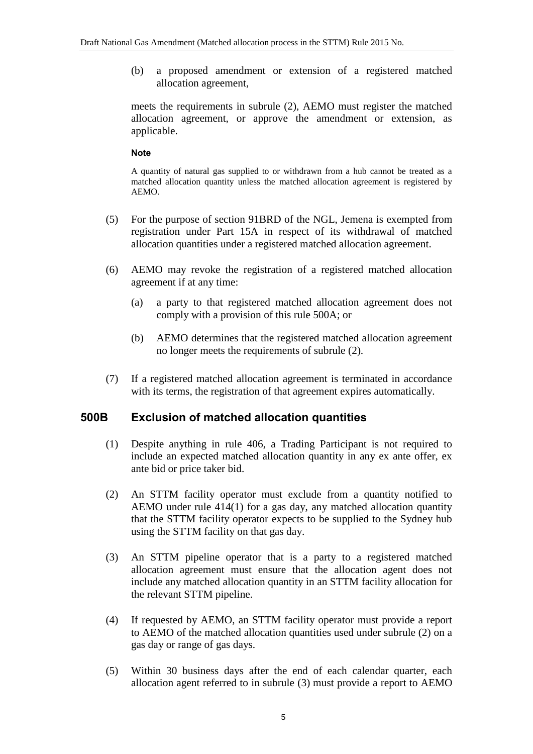(b) a proposed amendment or extension of a registered matched allocation agreement,

meets the requirements in subrule (2), AEMO must register the matched allocation agreement, or approve the amendment or extension, as applicable.

#### **Note**

A quantity of natural gas supplied to or withdrawn from a hub cannot be treated as a matched allocation quantity unless the matched allocation agreement is registered by AEMO.

- (5) For the purpose of section 91BRD of the NGL, Jemena is exempted from registration under Part 15A in respect of its withdrawal of matched allocation quantities under a registered matched allocation agreement.
- (6) AEMO may revoke the registration of a registered matched allocation agreement if at any time:
	- (a) a party to that registered matched allocation agreement does not comply with a provision of this rule 500A; or
	- (b) AEMO determines that the registered matched allocation agreement no longer meets the requirements of subrule (2).
- (7) If a registered matched allocation agreement is terminated in accordance with its terms, the registration of that agreement expires automatically.

#### **500B Exclusion of matched allocation quantities**

- (1) Despite anything in rule 406, a Trading Participant is not required to include an expected matched allocation quantity in any ex ante offer, ex ante bid or price taker bid.
- (2) An STTM facility operator must exclude from a quantity notified to AEMO under rule 414(1) for a gas day, any matched allocation quantity that the STTM facility operator expects to be supplied to the Sydney hub using the STTM facility on that gas day.
- (3) An STTM pipeline operator that is a party to a registered matched allocation agreement must ensure that the allocation agent does not include any matched allocation quantity in an STTM facility allocation for the relevant STTM pipeline.
- (4) If requested by AEMO, an STTM facility operator must provide a report to AEMO of the matched allocation quantities used under subrule (2) on a gas day or range of gas days.
- (5) Within 30 business days after the end of each calendar quarter, each allocation agent referred to in subrule (3) must provide a report to AEMO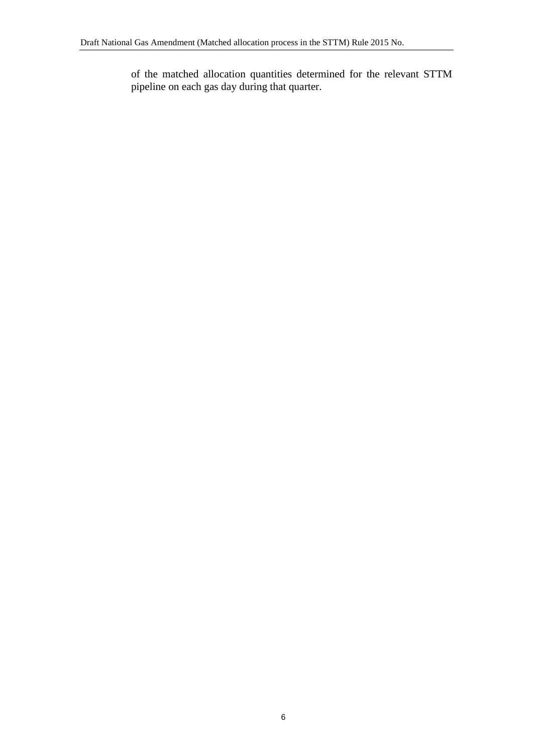of the matched allocation quantities determined for the relevant STTM pipeline on each gas day during that quarter.